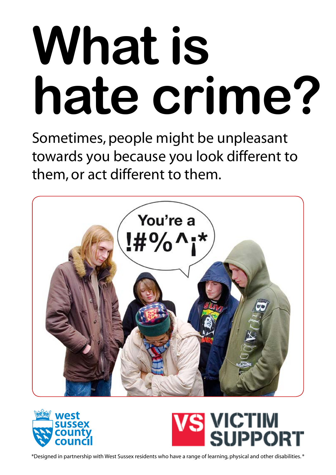# **What is hate crime?**

Sometimes, people might be unpleasant towards you because you look different to them, or act different to them.





## VICTIM

\*Designed in partnership with West Sussex residents who have a range of learning, physical and other disabilities. \*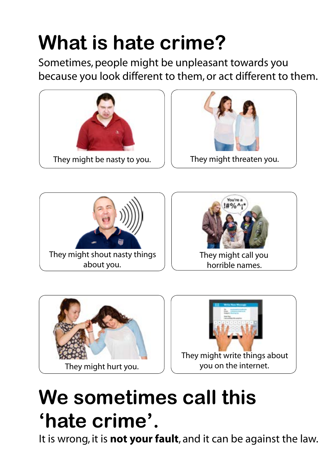## **What is hate crime?**

Sometimes, people might be unpleasant towards you because you look different to them, or act different to them.



 They might shout nasty things about you.





### **We sometimes call this 'hate crime'.**

It is wrong, it is **not your fault**, and it can be against the law.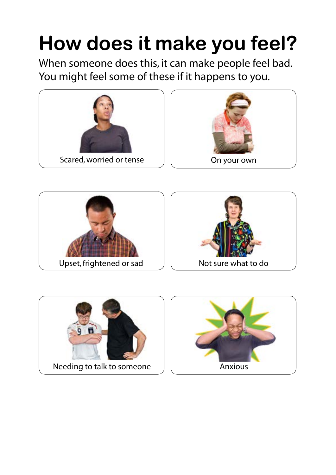## **How does it make you feel?**

When someone does this, it can make people feel bad. You might feel some of these if it happens to you.